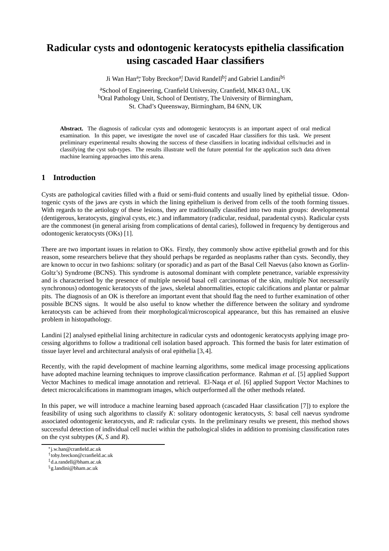# **Radicular cysts and odontogenic keratocysts epithelia classification using cascaded Haar classifiers**

Ji Wan Han<sup>a</sup>\*, Toby Breckon<sup>a†</sup>, David Randell<sup>b‡</sup>, and Gabriel Landini<sup>b§</sup>

<sup>a</sup>School of Engineering, Cranfield University, Cranfield, MK43 0AL, UK <sup>b</sup>Oral Pathology Unit, School of Dentistry, The University of Birmingham, St. Chad's Queensway, Birmingham, B4 6NN, UK

**Abstract.** The diagnosis of radicular cysts and odontogenic keratocysts is an important aspect of oral medical examination. In this paper, we investigate the novel use of cascaded Haar classifiers for this task. We present preliminary experimental results showing the success of these classifiers in locating individual cells/nuclei and in classifying the cyst sub-types. The results illustrate well the future potential for the application such data driven machine learning approaches into this arena.

# **1 Introduction**

Cysts are pathological cavities filled with a fluid or semi-fluid contents and usually lined by epithelial tissue. Odontogenic cysts of the jaws are cysts in which the lining epithelium is derived from cells of the tooth forming tissues. With regards to the aetiology of these lesions, they are traditionally classified into two main groups: developmental (dentigerous, keratocysts, gingival cysts, etc.) and inflammatory (radicular, residual, paradental cysts). Radicular cysts are the commonest (in general arising from complications of dental caries), followed in frequency by dentigerous and odontogenic keratocysts (OKs) [1].

There are two important issues in relation to OKs. Firstly, they commonly show active epithelial growth and for this reason, some researchers believe that they should perhaps be regarded as neoplasms rather than cysts. Secondly, they are known to occur in two fashions: solitary (or sporadic) and as part of the Basal Cell Naevus (also known as Gorlin-Goltz's) Syndrome (BCNS). This syndrome is autosomal dominant with complete penetrance, variable expressivity and is characterised by the presence of multiple nevoid basal cell carcinomas of the skin, multiple Not necessarily synchronous) odontogenic keratocysts of the jaws, skeletal abnormalities, ectopic calcifications and plantar or palmar pits. The diagnosis of an OK is therefore an important event that should flag the need to further examination of other possible BCNS signs. It would be also useful to know whether the difference between the solitary and syndrome keratocysts can be achieved from their morphological/microscopical appearance, but this has remained an elusive problem in histopathology.

Landini [2] analysed epithelial lining architecture in radicular cysts and odontogenic keratocysts applying image processing algorithms to follow a traditional cell isolation based approach. This formed the basis for later estimation of tissue layer level and architectural analysis of oral epithelia [3, 4].

Recently, with the rapid development of machine learning algorithms, some medical image processing applications have adopted machine learning techniques to improve classification performance. Rahman *et al.* [5] applied Support Vector Machines to medical image annotation and retrieval. El-Naqa *et al.* [6] applied Support Vector Machines to detect microcalcifications in mammogram images, which outperformed all the other methods related.

In this paper, we will introduce a machine learning based approach (cascaded Haar classification [7]) to explore the feasibility of using such algorithms to classify *K*: solitary odontogenic keratocysts, *S*: basal cell naevus syndrome associated odontogenic keratocysts, and *R*: radicular cysts. In the preliminary results we present, this method shows successful detection of individual cell nuclei within the pathological slides in addition to promising classification rates on the cyst subtypes (*K*, *S* and *R*).

<sup>∗</sup>j.w.han@cranfield.ac.uk

<sup>†</sup> toby.breckon@cranfield.ac.uk

<sup>‡</sup>d.a.randell@bham.ac.uk

<sup>§</sup>g.landini@bham.ac.uk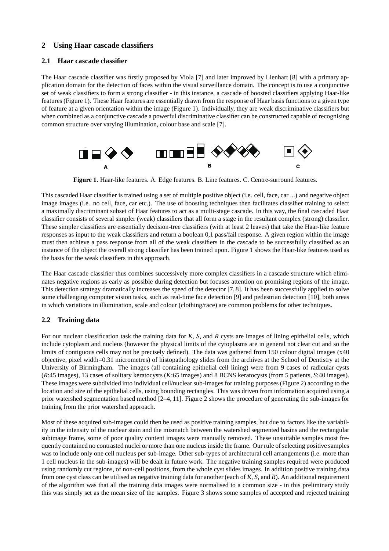# **2 Using Haar cascade classifiers**

#### **2.1 Haar cascade classifier**

The Haar cascade classifier was firstly proposed by Viola [7] and later improved by Lienhart [8] with a primary application domain for the detection of faces within the visual surveillance domain. The concept is to use a conjunctive set of weak classifiers to form a strong classifier - in this instance, a cascade of boosted classifiers applying Haar-like features (Figure 1). These Haar features are essentially drawn from the response of Haar basis functions to a given type of feature at a given orientation within the image (Figure 1). Individually, they are weak discriminative classifiers but when combined as a conjunctive cascade a powerful discriminative classifier can be constructed capable of recognising common structure over varying illumination, colour base and scale [7].



**Figure 1.** Haar-like features. A. Edge features. B. Line features. C. Centre-surround features.

This cascaded Haar classifier is trained using a set of multiple positive object (i.e. cell, face, car ...) and negative object image images (i.e. no cell, face, car etc.). The use of boosting techniques then facilitates classifier training to select a maximally discriminant subset of Haar features to act as a multi-stage cascade. In this way, the final cascaded Haar classifier consists of several simpler (weak) classifiers that all form a stage in the resultant complex (strong) classifier. These simpler classifiers are essentially decision-tree classifiers (with at least 2 leaves) that take the Haar-like feature responses as input to the weak classifiers and return a boolean 0,1 pass/fail response. A given region within the image must then achieve a pass response from all of the weak classifiers in the cascade to be successfully classified as an instance of the object the overall strong classifier has been trained upon. Figure 1 shows the Haar-like features used as the basis for the weak classifiers in this approach.

The Haar cascade classifier thus combines successively more complex classifiers in a cascade structure which eliminates negative regions as early as possible during detection but focuses attention on promising regions of the image. This detection strategy dramatically increases the speed of the detector [7, 8]. It has been successfully applied to solve some challenging computer vision tasks, such as real-time face detection [9] and pedestrian detection [10], both areas in which variations in illumination, scale and colour (clothing/race) are common problems for other techniques.

### **2.2 Training data**

For our nuclear classification task the training data for *K*, *S*, and *R* cysts are images of lining epithelial cells, which include cytoplasm and nucleus (however the physical limits of the cytoplasms are in general not clear cut and so the limits of contiguous cells may not be precisely defined). The data was gathered from 150 colour digital images (x40 objective, pixel width=0.31 micrometres) of histopathology slides from the archives at the School of Dentistry at the University of Birmingham. The images (all containing epithelial cell lining) were from 9 cases of radicular cysts (*R*:45 images), 13 cases of solitary keratocysts (*K*:65 images) and 8 BCNS keratocysts (from 5 patients, *S*:40 images). These images were subdivided into individual cell/nuclear sub-images for training purposes (Figure 2) according to the location and size of the epithelial cells, using bounding rectangles. This was driven from information acquired using a prior watershed segmentation based method [2–4, 11]. Figure 2 shows the procedure of generating the sub-images for training from the prior watershed approach.

Most of these acquired sub-images could then be used as positive training samples, but due to factors like the variability in the intensity of the nuclear stain and the mismatch between the watershed segmented basins and the rectangular subimage frame, some of poor quality content images were manually removed. These unsuitable samples most frequently contained no contrasted nuclei or more than one nucleus inside the frame. Our rule of selecting positive samples was to include only one cell nucleus per sub-image. Other sub-types of architectural cell arrangements (i.e. more than 1 cell nucleus in the sub-images) will be dealt in future work. The negative training samples required were produced using randomly cut regions, of non-cell positions, from the whole cyst slides images. In addition positive training data from one cyst class can be utilised as negative training data for another (each of *K*, *S*, and *R*). An additional requirement of the algorithm was that all the training data images were normalised to a common size - in this preliminary study this was simply set as the mean size of the samples. Figure 3 shows some samples of accepted and rejected training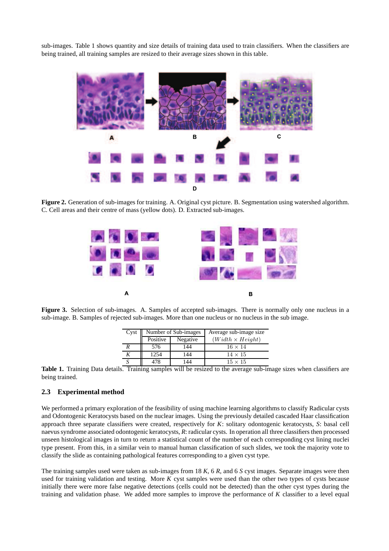sub-images. Table 1 shows quantity and size details of training data used to train classifiers. When the classifiers are being trained, all training samples are resized to their average sizes shown in this table.



**Figure 2.** Generation of sub-images for training. A. Original cyst picture. B. Segmentation using watershed algorithm. C. Cell areas and their centre of mass (yellow dots). D. Extracted sub-images.



**Figure 3.** Selection of sub-images. A. Samples of accepted sub-images. There is normally only one nucleus in a sub-image. B. Samples of rejected sub-images. More than one nucleus or no nucleus in the sub image.

| Cyst | Number of Sub-images |          | Average sub-image size  |
|------|----------------------|----------|-------------------------|
|      | Positive             | Negative | $(Width \times Height)$ |
|      | 576                  | 144      | $16 \times 14$          |
|      | 1254                 | 144      | $14 \times 15$          |
|      | 478                  | 144      | $15 \times 15$          |

**Table 1.** Training Data details. Training samples will be resized to the average sub-image sizes when classifiers are being trained.

#### **2.3 Experimental method**

We performed a primary exploration of the feasibility of using machine learning algorithms to classify Radicular cysts and Odontogenic Keratocysts based on the nuclear images. Using the previously detailed cascaded Haar classification approach three separate classifiers were created, respectively for *K*: solitary odontogenic keratocysts, *S*: basal cell naevus syndrome associated odontogenic keratocysts, *R*: radicular cysts. In operation all three classifiers then processed unseen histological images in turn to return a statistical count of the number of each corresponding cyst lining nuclei type present. From this, in a similar vein to manual human classification of such slides, we took the majority vote to classify the slide as containing pathological features corresponding to a given cyst type.

The training samples used were taken as sub-images from 18 *K*, 6 *R*, and 6 *S* cyst images. Separate images were then used for training validation and testing. More *K* cyst samples were used than the other two types of cysts because initially there were more false negative detections (cells could not be detected) than the other cyst types during the training and validation phase. We added more samples to improve the performance of *K* classifier to a level equal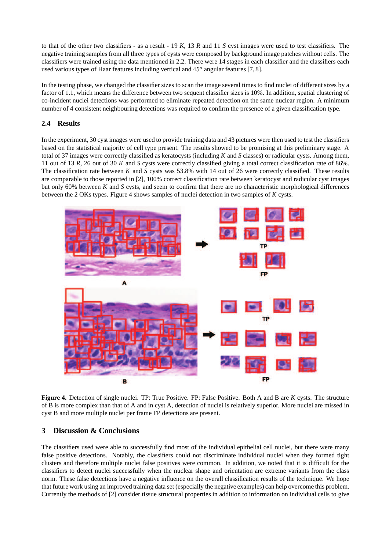to that of the other two classifiers - as a result - 19 *K*, 13 *R* and 11 *S* cyst images were used to test classifiers. The negative training samples from all three types of cysts were composed by background image patches without cells. The classifiers were trained using the data mentioned in 2.2. There were 14 stages in each classifier and the classifiers each used various types of Haar features including vertical and  $45^{\circ}$  angular features [7,8].

In the testing phase, we changed the classifier sizes to scan the image several times to find nuclei of different sizes by a factor of 1.1, which means the difference between two sequent classifier sizes is 10%. In addition, spatial clustering of co-incident nuclei detections was performed to eliminate repeated detection on the same nuclear region. A minimum number of 4 consistent neighbouring detections was required to confirm the presence of a given classification type.

## **2.4 Results**

In the experiment, 30 cyst images were used to provide training data and 43 pictures were then used to test the classifiers based on the statistical majority of cell type present. The results showed to be promising at this preliminary stage. A total of 37 images were correctly classified as keratocysts (including *K* and *S* classes) or radicular cysts. Among them, 11 out of 13 *R*, 26 out of 30 *K* and *S* cysts were correctly classified giving a total correct classification rate of 86%. The classification rate between *K* and *S* cysts was 53.8% with 14 out of 26 were correctly classified. These results are comparable to those reported in [2], 100% correct classification rate between keratocyst and radicular cyst images but only 60% between *K* and *S* cysts, and seem to confirm that there are no characteristic morphological differences between the 2 OKs types. Figure 4 shows samples of nuclei detection in two samples of *K* cysts.



**Figure 4.** Detection of single nuclei. TP: True Positive. FP: False Positive. Both A and B are *K* cysts. The structure of B is more complex than that of A and in cyst A, detection of nuclei is relatively superior. More nuclei are missed in cyst B and more multiple nuclei per frame FP detections are present.

# **3 Discussion & Conclusions**

The classifiers used were able to successfully find most of the individual epithelial cell nuclei, but there were many false positive detections. Notably, the classifiers could not discriminate individual nuclei when they formed tight clusters and therefore multiple nuclei false positives were common. In addition, we noted that it is difficult for the classifiers to detect nuclei successfully when the nuclear shape and orientation are extreme variants from the class norm. These false detections have a negative influence on the overall classification results of the technique. We hope that future work using an improved training data set (especially the negative examples) can help overcome this problem. Currently the methods of [2] consider tissue structural properties in addition to information on individual cells to give